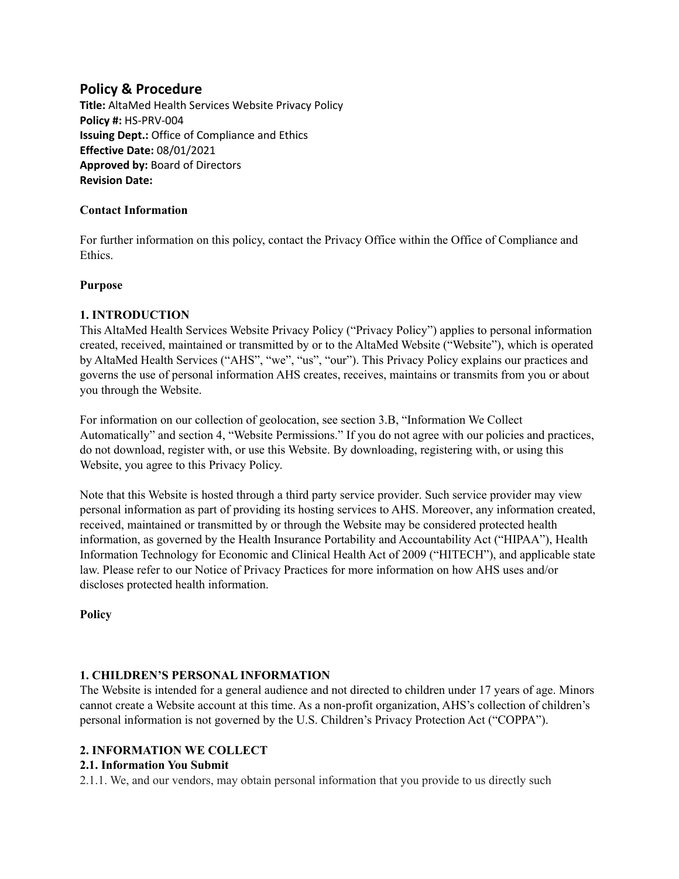# **Policy & Procedure**

**Title:** AltaMed Health Services Website Privacy Policy **Policy #:** HS-PRV-004 **Issuing Dept.:** Office of Compliance and Ethics **Effective Date:** 08/01/2021 **Approved by:** Board of Directors **Revision Date:**

#### **Contact Information**

For further information on this policy, contact the Privacy Office within the Office of Compliance and Ethics.

#### **Purpose**

## **1. INTRODUCTION**

This AltaMed Health Services Website Privacy Policy ("Privacy Policy") applies to personal information created, received, maintained or transmitted by or to the AltaMed Website ("Website"), which is operated by AltaMed Health Services ("AHS", "we", "us", "our"). This Privacy Policy explains our practices and governs the use of personal information AHS creates, receives, maintains or transmits from you or about you through the Website.

For information on our collection of geolocation, see section 3.B, "Information We Collect Automatically" and section 4, "Website Permissions." If you do not agree with our policies and practices, do not download, register with, or use this Website. By downloading, registering with, or using this Website, you agree to this Privacy Policy.

Note that this Website is hosted through a third party service provider. Such service provider may view personal information as part of providing its hosting services to AHS. Moreover, any information created, received, maintained or transmitted by or through the Website may be considered protected health information, as governed by the Health Insurance Portability and Accountability Act ("HIPAA"), Health Information Technology for Economic and Clinical Health Act of 2009 ("HITECH"), and applicable state law. Please refer to our Notice of Privacy Practices for more information on how AHS uses and/or discloses protected health information.

**Policy**

## **1. CHILDREN'S PERSONAL INFORMATION**

The Website is intended for a general audience and not directed to children under 17 years of age. Minors cannot create a Website account at this time. As a non-profit organization, AHS's collection of children's personal information is not governed by the U.S. Children's Privacy Protection Act ("COPPA").

## **2. INFORMATION WE COLLECT**

## **2.1. Information You Submit**

2.1.1. We, and our vendors, may obtain personal information that you provide to us directly such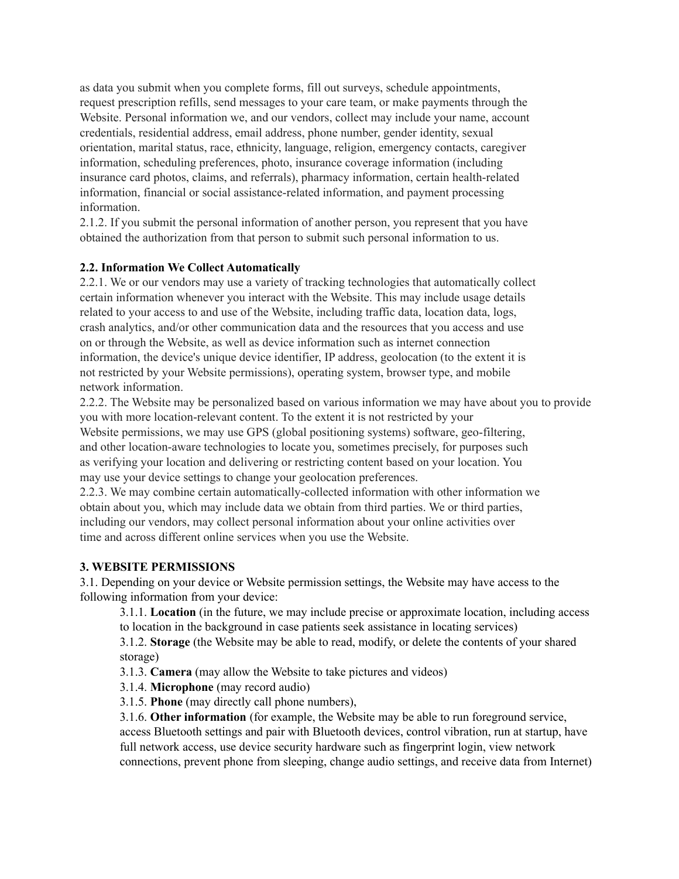as data you submit when you complete forms, fill out surveys, schedule appointments, request prescription refills, send messages to your care team, or make payments through the Website. Personal information we, and our vendors, collect may include your name, account credentials, residential address, email address, phone number, gender identity, sexual orientation, marital status, race, ethnicity, language, religion, emergency contacts, caregiver information, scheduling preferences, photo, insurance coverage information (including insurance card photos, claims, and referrals), pharmacy information, certain health-related information, financial or social assistance-related information, and payment processing information.

2.1.2. If you submit the personal information of another person, you represent that you have obtained the authorization from that person to submit such personal information to us.

#### **2.2. Information We Collect Automatically**

2.2.1. We or our vendors may use a variety of tracking technologies that automatically collect certain information whenever you interact with the Website. This may include usage details related to your access to and use of the Website, including traffic data, location data, logs, crash analytics, and/or other communication data and the resources that you access and use on or through the Website, as well as device information such as internet connection information, the device's unique device identifier, IP address, geolocation (to the extent it is not restricted by your Website permissions), operating system, browser type, and mobile network information.

2.2.2. The Website may be personalized based on various information we may have about you to provide you with more location-relevant content. To the extent it is not restricted by your Website permissions, we may use GPS (global positioning systems) software, geo-filtering, and other location-aware technologies to locate you, sometimes precisely, for purposes such as verifying your location and delivering or restricting content based on your location. You may use your device settings to change your geolocation preferences.

2.2.3. We may combine certain automatically-collected information with other information we obtain about you, which may include data we obtain from third parties. We or third parties, including our vendors, may collect personal information about your online activities over time and across different online services when you use the Website.

## **3. WEBSITE PERMISSIONS**

3.1. Depending on your device or Website permission settings, the Website may have access to the following information from your device:

3.1.1. **Location** (in the future, we may include precise or approximate location, including access to location in the background in case patients seek assistance in locating services)

3.1.2. **Storage** (the Website may be able to read, modify, or delete the contents of your shared storage)

3.1.3. **Camera** (may allow the Website to take pictures and videos)

3.1.4. **Microphone** (may record audio)

3.1.5. **Phone** (may directly call phone numbers),

3.1.6. **Other information** (for example, the Website may be able to run foreground service, access Bluetooth settings and pair with Bluetooth devices, control vibration, run at startup, have full network access, use device security hardware such as fingerprint login, view network connections, prevent phone from sleeping, change audio settings, and receive data from Internet)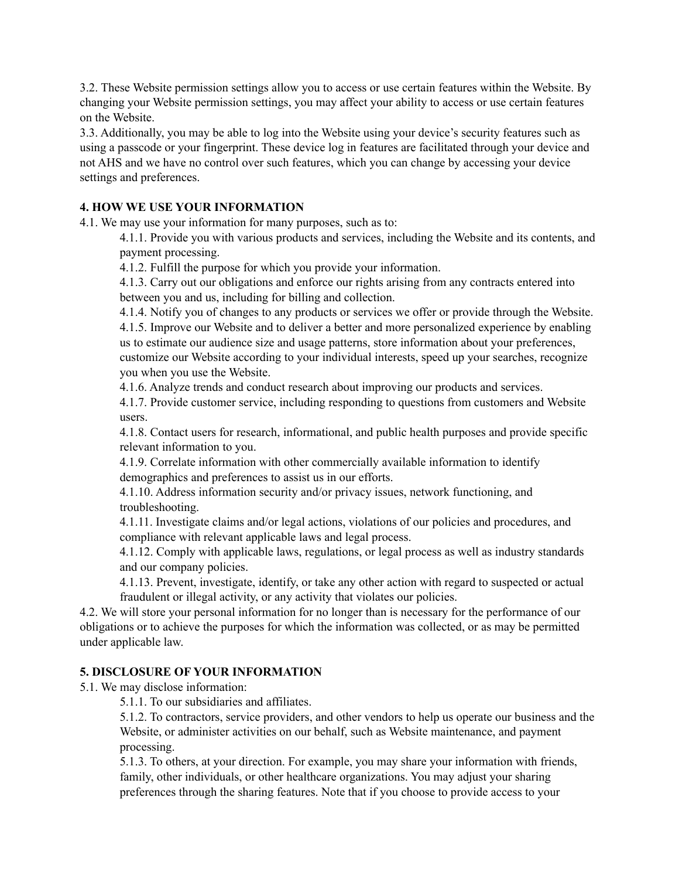3.2. These Website permission settings allow you to access or use certain features within the Website. By changing your Website permission settings, you may affect your ability to access or use certain features on the Website.

3.3. Additionally, you may be able to log into the Website using your device's security features such as using a passcode or your fingerprint. These device log in features are facilitated through your device and not AHS and we have no control over such features, which you can change by accessing your device settings and preferences.

## **4. HOW WE USE YOUR INFORMATION**

4.1. We may use your information for many purposes, such as to:

4.1.1. Provide you with various products and services, including the Website and its contents, and payment processing.

4.1.2. Fulfill the purpose for which you provide your information.

4.1.3. Carry out our obligations and enforce our rights arising from any contracts entered into between you and us, including for billing and collection.

4.1.4. Notify you of changes to any products or services we offer or provide through the Website.

4.1.5. Improve our Website and to deliver a better and more personalized experience by enabling us to estimate our audience size and usage patterns, store information about your preferences, customize our Website according to your individual interests, speed up your searches, recognize you when you use the Website.

4.1.6. Analyze trends and conduct research about improving our products and services.

4.1.7. Provide customer service, including responding to questions from customers and Website users.

4.1.8. Contact users for research, informational, and public health purposes and provide specific relevant information to you.

4.1.9. Correlate information with other commercially available information to identify demographics and preferences to assist us in our efforts.

4.1.10. Address information security and/or privacy issues, network functioning, and troubleshooting.

4.1.11. Investigate claims and/or legal actions, violations of our policies and procedures, and compliance with relevant applicable laws and legal process.

4.1.12. Comply with applicable laws, regulations, or legal process as well as industry standards and our company policies.

4.1.13. Prevent, investigate, identify, or take any other action with regard to suspected or actual fraudulent or illegal activity, or any activity that violates our policies.

4.2. We will store your personal information for no longer than is necessary for the performance of our obligations or to achieve the purposes for which the information was collected, or as may be permitted under applicable law.

# **5. DISCLOSURE OF YOUR INFORMATION**

5.1. We may disclose information:

5.1.1. To our subsidiaries and affiliates.

5.1.2. To contractors, service providers, and other vendors to help us operate our business and the Website, or administer activities on our behalf, such as Website maintenance, and payment processing.

5.1.3. To others, at your direction. For example, you may share your information with friends, family, other individuals, or other healthcare organizations. You may adjust your sharing preferences through the sharing features. Note that if you choose to provide access to your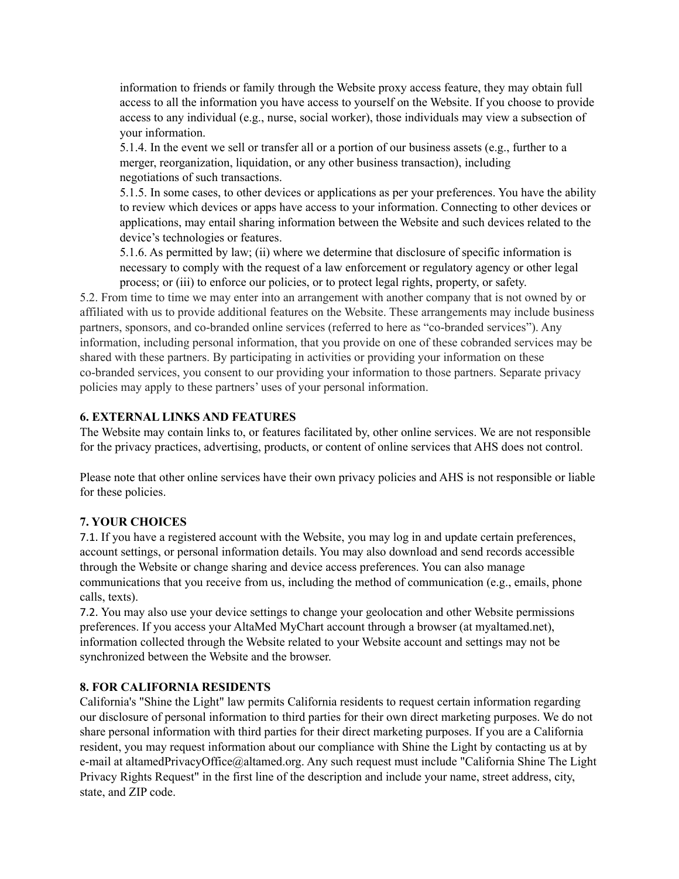information to friends or family through the Website proxy access feature, they may obtain full access to all the information you have access to yourself on the Website. If you choose to provide access to any individual (e.g., nurse, social worker), those individuals may view a subsection of your information.

5.1.4. In the event we sell or transfer all or a portion of our business assets (e.g., further to a merger, reorganization, liquidation, or any other business transaction), including negotiations of such transactions.

5.1.5. In some cases, to other devices or applications as per your preferences. You have the ability to review which devices or apps have access to your information. Connecting to other devices or applications, may entail sharing information between the Website and such devices related to the device's technologies or features.

5.1.6. As permitted by law; (ii) where we determine that disclosure of specific information is necessary to comply with the request of a law enforcement or regulatory agency or other legal process; or (iii) to enforce our policies, or to protect legal rights, property, or safety.

5.2. From time to time we may enter into an arrangement with another company that is not owned by or affiliated with us to provide additional features on the Website. These arrangements may include business partners, sponsors, and co-branded online services (referred to here as "co-branded services"). Any information, including personal information, that you provide on one of these cobranded services may be shared with these partners. By participating in activities or providing your information on these co-branded services, you consent to our providing your information to those partners. Separate privacy policies may apply to these partners' uses of your personal information.

## **6. EXTERNAL LINKS AND FEATURES**

The Website may contain links to, or features facilitated by, other online services. We are not responsible for the privacy practices, advertising, products, or content of online services that AHS does not control.

Please note that other online services have their own privacy policies and AHS is not responsible or liable for these policies.

# **7. YOUR CHOICES**

7.1. If you have a registered account with the Website, you may log in and update certain preferences, account settings, or personal information details. You may also download and send records accessible through the Website or change sharing and device access preferences. You can also manage communications that you receive from us, including the method of communication (e.g., emails, phone calls, texts).

7.2. You may also use your device settings to change your geolocation and other Website permissions preferences. If you access your AltaMed MyChart account through a browser (at myaltamed.net), information collected through the Website related to your Website account and settings may not be synchronized between the Website and the browser.

# **8. FOR CALIFORNIA RESIDENTS**

California's "Shine the Light" law permits California residents to request certain information regarding our disclosure of personal information to third parties for their own direct marketing purposes. We do not share personal information with third parties for their direct marketing purposes. If you are a California resident, you may request information about our compliance with Shine the Light by contacting us at by e-mail at altamedPrivacyOffice@altamed.org. Any such request must include "California Shine The Light Privacy Rights Request" in the first line of the description and include your name, street address, city, state, and ZIP code.